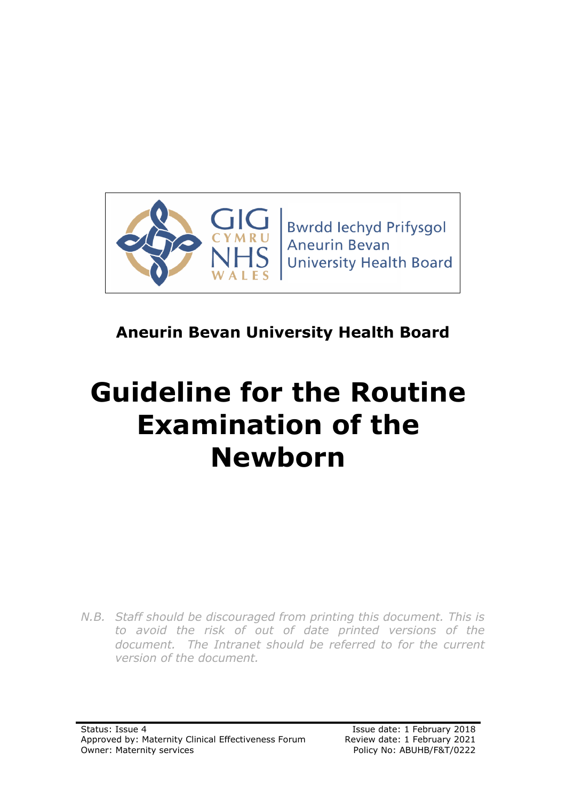

# **Aneurin Bevan University Health Board**

# **Guideline for the Routine Examination of the Newborn**

*N.B. Staff should be discouraged from printing this document. This is to avoid the risk of out of date printed versions of the*  document. The Intranet should be referred to for the current *version of the document.*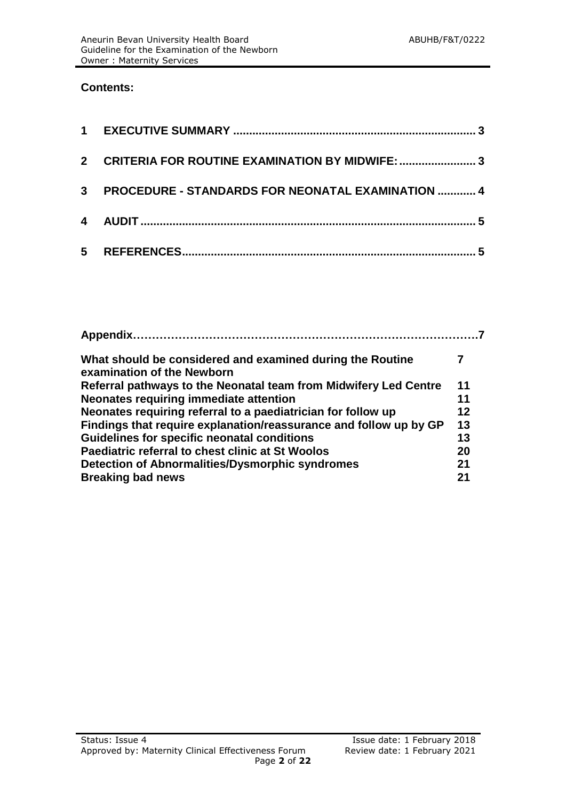#### **Contents:**

| $\mathbf{2}$ | <b>CRITERIA FOR ROUTINE EXAMINATION BY MIDWIFE:  3</b> |  |
|--------------|--------------------------------------------------------|--|
|              | 3 PROCEDURE - STANDARDS FOR NEONATAL EXAMINATION  4    |  |
|              |                                                        |  |
|              |                                                        |  |

| Appendix.                                                                               |    |
|-----------------------------------------------------------------------------------------|----|
| What should be considered and examined during the Routine<br>examination of the Newborn |    |
| Referral pathways to the Neonatal team from Midwifery Led Centre                        | 11 |
| <b>Neonates requiring immediate attention</b>                                           | 11 |
| Neonates requiring referral to a paediatrician for follow up                            | 12 |
| Findings that require explanation/reassurance and follow up by GP                       | 13 |
| Guidelines for specific neonatal conditions                                             | 13 |
| Paediatric referral to chest clinic at St Woolos                                        | 20 |
| Detection of Abnormalities/Dysmorphic syndromes                                         | 21 |
| <b>Breaking bad news</b>                                                                | 21 |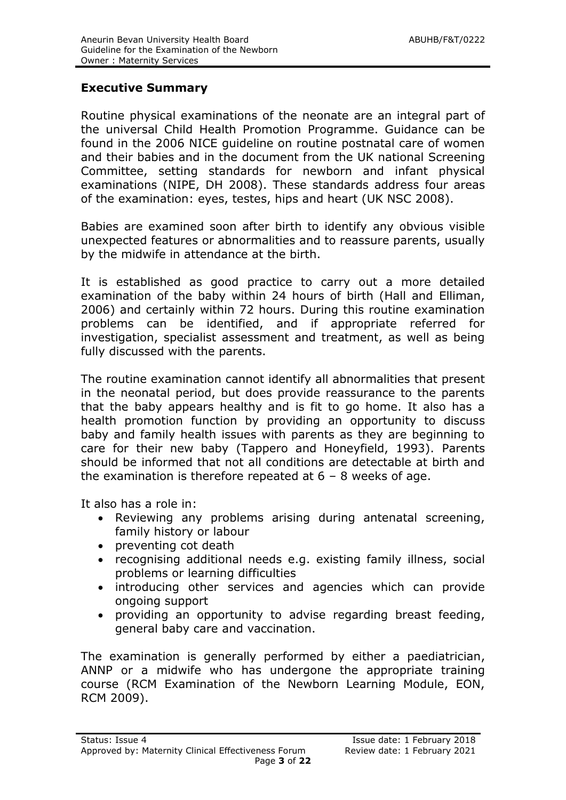# **Executive Summary**

Routine physical examinations of the neonate are an integral part of the universal Child Health Promotion Programme. Guidance can be found in the 2006 NICE guideline on routine postnatal care of women and their babies and in the document from the UK national Screening Committee, setting standards for newborn and infant physical examinations (NIPE, DH 2008). These standards address four areas of the examination: eyes, testes, hips and heart (UK NSC 2008).

Babies are examined soon after birth to identify any obvious visible unexpected features or abnormalities and to reassure parents, usually by the midwife in attendance at the birth.

It is established as good practice to carry out a more detailed examination of the baby within 24 hours of birth (Hall and Elliman, 2006) and certainly within 72 hours. During this routine examination problems can be identified, and if appropriate referred for investigation, specialist assessment and treatment, as well as being fully discussed with the parents.

The routine examination cannot identify all abnormalities that present in the neonatal period, but does provide reassurance to the parents that the baby appears healthy and is fit to go home. It also has a health promotion function by providing an opportunity to discuss baby and family health issues with parents as they are beginning to care for their new baby (Tappero and Honeyfield, 1993). Parents should be informed that not all conditions are detectable at birth and the examination is therefore repeated at  $6 - 8$  weeks of age.

It also has a role in:

- Reviewing any problems arising during antenatal screening, family history or labour
- preventing cot death
- recognising additional needs e.g. existing family illness, social problems or learning difficulties
- introducing other services and agencies which can provide ongoing support
- providing an opportunity to advise regarding breast feeding, general baby care and vaccination.

The examination is generally performed by either a paediatrician, ANNP or a midwife who has undergone the appropriate training course (RCM Examination of the Newborn Learning Module, EON, RCM 2009).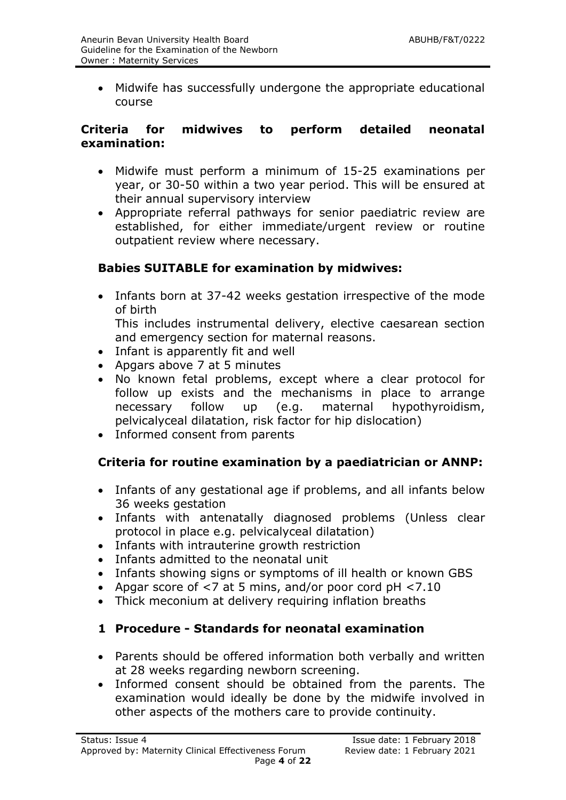Midwife has successfully undergone the appropriate educational course

#### **Criteria for midwives to perform detailed neonatal examination:**

- Midwife must perform a minimum of 15-25 examinations per year, or 30-50 within a two year period. This will be ensured at their annual supervisory interview
- Appropriate referral pathways for senior paediatric review are established, for either immediate/urgent review or routine outpatient review where necessary.

# **Babies SUITABLE for examination by midwives:**

• Infants born at 37-42 weeks gestation irrespective of the mode of birth

This includes instrumental delivery, elective caesarean section and emergency section for maternal reasons.

- Infant is apparently fit and well
- Apgars above 7 at 5 minutes
- No known fetal problems, except where a clear protocol for follow up exists and the mechanisms in place to arrange necessary follow up (e.g. maternal hypothyroidism, pelvicalyceal dilatation, risk factor for hip dislocation)
- Informed consent from parents

# **Criteria for routine examination by a paediatrician or ANNP:**

- Infants of any gestational age if problems, and all infants below 36 weeks gestation
- Infants with antenatally diagnosed problems (Unless clear protocol in place e.g. pelvicalyceal dilatation)
- Infants with intrauterine growth restriction
- Infants admitted to the neonatal unit
- Infants showing signs or symptoms of ill health or known GBS
- Apgar score of <7 at 5 mins, and/or poor cord pH <7.10
- Thick meconium at delivery requiring inflation breaths

# **1 Procedure - Standards for neonatal examination**

- Parents should be offered information both verbally and written at 28 weeks regarding newborn screening.
- Informed consent should be obtained from the parents. The examination would ideally be done by the midwife involved in other aspects of the mothers care to provide continuity.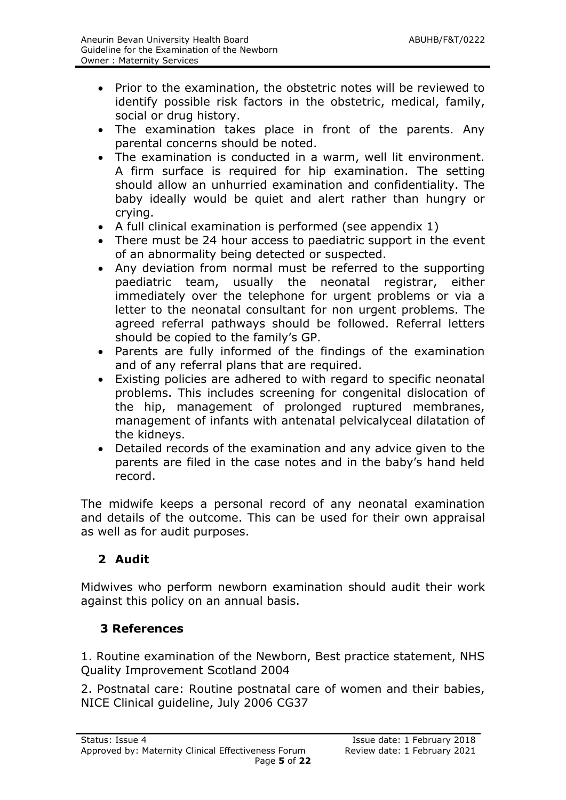- Prior to the examination, the obstetric notes will be reviewed to identify possible risk factors in the obstetric, medical, family, social or drug history.
- The examination takes place in front of the parents. Any parental concerns should be noted.
- The examination is conducted in a warm, well lit environment. A firm surface is required for hip examination. The setting should allow an unhurried examination and confidentiality. The baby ideally would be quiet and alert rather than hungry or crying.
- A full clinical examination is performed (see appendix 1)
- There must be 24 hour access to paediatric support in the event of an abnormality being detected or suspected.
- Any deviation from normal must be referred to the supporting paediatric team, usually the neonatal registrar, either immediately over the telephone for urgent problems or via a letter to the neonatal consultant for non urgent problems. The agreed referral pathways should be followed. Referral letters should be copied to the family's GP.
- Parents are fully informed of the findings of the examination and of any referral plans that are required.
- Existing policies are adhered to with regard to specific neonatal problems. This includes screening for congenital dislocation of the hip, management of prolonged ruptured membranes, management of infants with antenatal pelvicalyceal dilatation of the kidneys.
- Detailed records of the examination and any advice given to the parents are filed in the case notes and in the baby's hand held record.

The midwife keeps a personal record of any neonatal examination and details of the outcome. This can be used for their own appraisal as well as for audit purposes.

# **2 Audit**

Midwives who perform newborn examination should audit their work against this policy on an annual basis.

# **3 References**

1. Routine examination of the Newborn, Best practice statement, NHS Quality Improvement Scotland 2004

2. Postnatal care: Routine postnatal care of women and their babies, NICE Clinical guideline, July 2006 CG37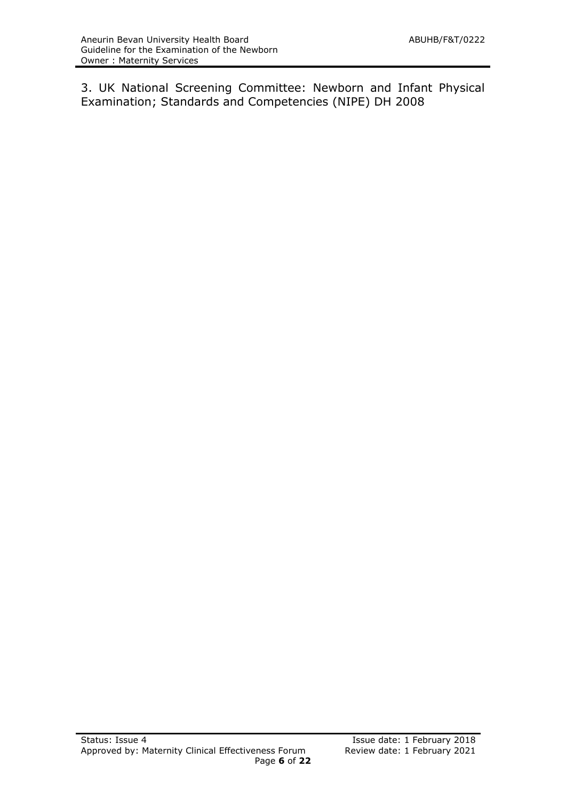3. UK National Screening Committee: Newborn and Infant Physical Examination; Standards and Competencies (NIPE) DH 2008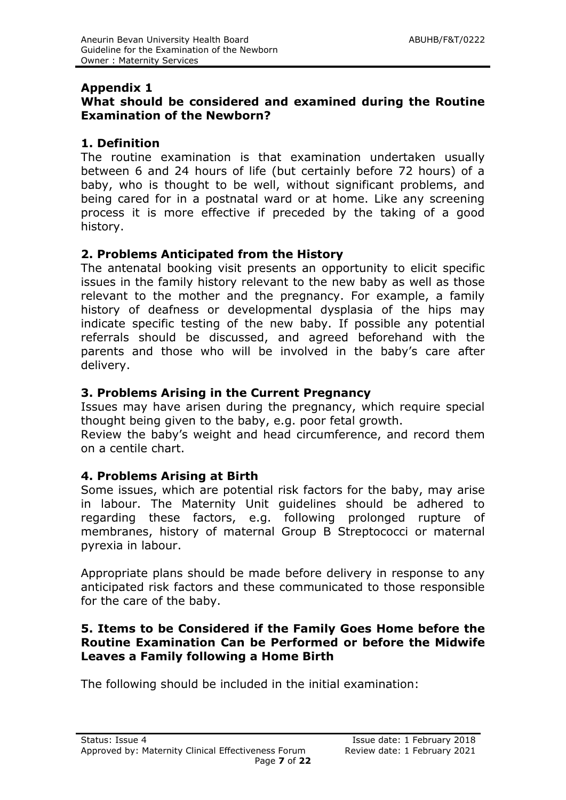#### **Appendix 1**

# **What should be considered and examined during the Routine Examination of the Newborn?**

# **1. Definition**

The routine examination is that examination undertaken usually between 6 and 24 hours of life (but certainly before 72 hours) of a baby, who is thought to be well, without significant problems, and being cared for in a postnatal ward or at home. Like any screening process it is more effective if preceded by the taking of a good history.

# **2. Problems Anticipated from the History**

The antenatal booking visit presents an opportunity to elicit specific issues in the family history relevant to the new baby as well as those relevant to the mother and the pregnancy. For example, a family history of deafness or developmental dysplasia of the hips may indicate specific testing of the new baby. If possible any potential referrals should be discussed, and agreed beforehand with the parents and those who will be involved in the baby's care after delivery.

# **3. Problems Arising in the Current Pregnancy**

Issues may have arisen during the pregnancy, which require special thought being given to the baby, e.g. poor fetal growth.

Review the baby's weight and head circumference, and record them on a centile chart.

# **4. Problems Arising at Birth**

Some issues, which are potential risk factors for the baby, may arise in labour. The Maternity Unit guidelines should be adhered to regarding these factors, e.g. following prolonged rupture of membranes, history of maternal Group B Streptococci or maternal pyrexia in labour.

Appropriate plans should be made before delivery in response to any anticipated risk factors and these communicated to those responsible for the care of the baby.

# **5. Items to be Considered if the Family Goes Home before the Routine Examination Can be Performed or before the Midwife Leaves a Family following a Home Birth**

The following should be included in the initial examination: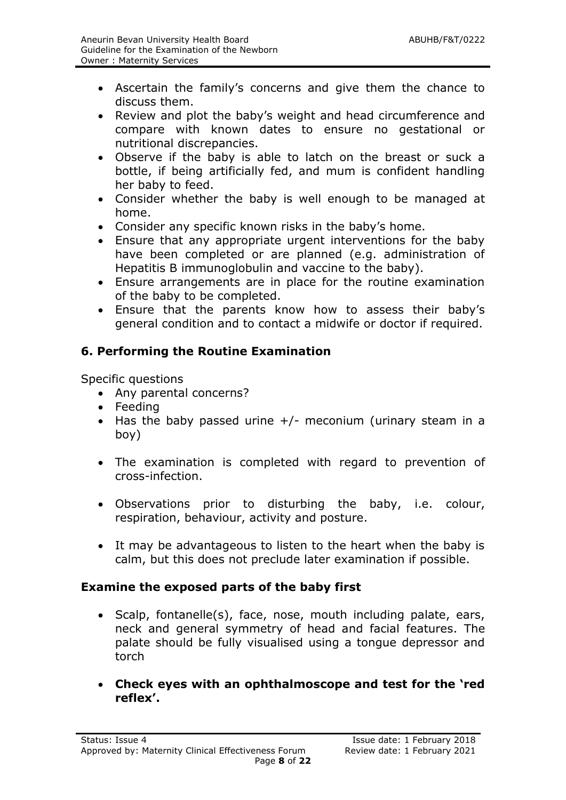- Ascertain the family's concerns and give them the chance to discuss them.
- Review and plot the baby's weight and head circumference and compare with known dates to ensure no gestational or nutritional discrepancies.
- Observe if the baby is able to latch on the breast or suck a bottle, if being artificially fed, and mum is confident handling her baby to feed.
- Consider whether the baby is well enough to be managed at home.
- Consider any specific known risks in the baby's home.
- Ensure that any appropriate urgent interventions for the baby have been completed or are planned (e.g. administration of Hepatitis B immunoglobulin and vaccine to the baby).
- Ensure arrangements are in place for the routine examination of the baby to be completed.
- Ensure that the parents know how to assess their baby's general condition and to contact a midwife or doctor if required.

# **6. Performing the Routine Examination**

Specific questions

- Any parental concerns?
- Feeding
- $\bullet$  Has the baby passed urine  $+/$  meconium (urinary steam in a boy)
- The examination is completed with regard to prevention of cross-infection.
- Observations prior to disturbing the baby, i.e. colour, respiration, behaviour, activity and posture.
- It may be advantageous to listen to the heart when the baby is calm, but this does not preclude later examination if possible.

# **Examine the exposed parts of the baby first**

- Scalp, fontanelle(s), face, nose, mouth including palate, ears, neck and general symmetry of head and facial features. The palate should be fully visualised using a tongue depressor and torch
- **Check eyes with an ophthalmoscope and test for the 'red reflex'.**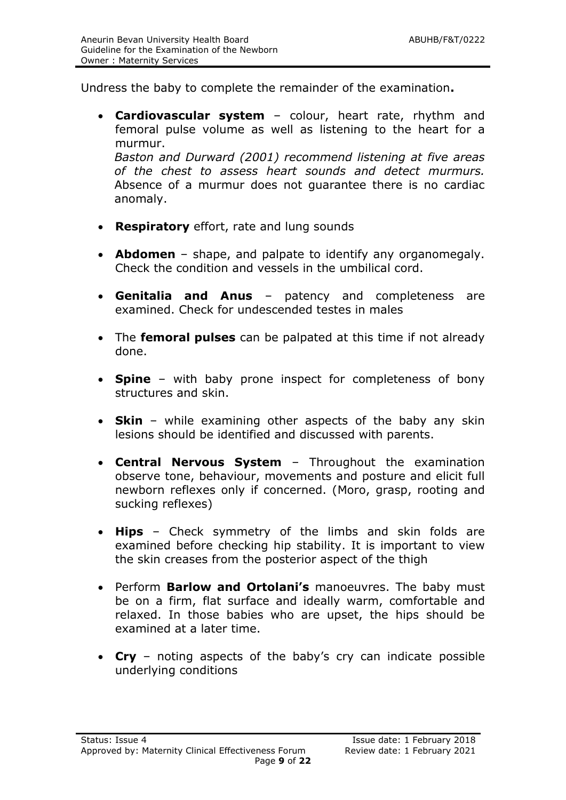Undress the baby to complete the remainder of the examination**.**

 **Cardiovascular system** – colour, heart rate, rhythm and femoral pulse volume as well as listening to the heart for a murmur.

*Baston and Durward (2001) recommend listening at five areas of the chest to assess heart sounds and detect murmurs.* Absence of a murmur does not guarantee there is no cardiac anomaly.

- **Respiratory** effort, rate and lung sounds
- **Abdomen** shape, and palpate to identify any organomegaly. Check the condition and vessels in the umbilical cord.
- **Genitalia and Anus** patency and completeness are examined. Check for undescended testes in males
- The **femoral pulses** can be palpated at this time if not already done.
- **Spine** with baby prone inspect for completeness of bony structures and skin.
- **Skin** while examining other aspects of the baby any skin lesions should be identified and discussed with parents.
- **Central Nervous System** Throughout the examination observe tone, behaviour, movements and posture and elicit full newborn reflexes only if concerned. (Moro, grasp, rooting and sucking reflexes)
- **Hips** Check symmetry of the limbs and skin folds are examined before checking hip stability. It is important to view the skin creases from the posterior aspect of the thigh
- Perform **Barlow and Ortolani's** manoeuvres. The baby must be on a firm, flat surface and ideally warm, comfortable and relaxed. In those babies who are upset, the hips should be examined at a later time.
- **Cry** noting aspects of the baby's cry can indicate possible underlying conditions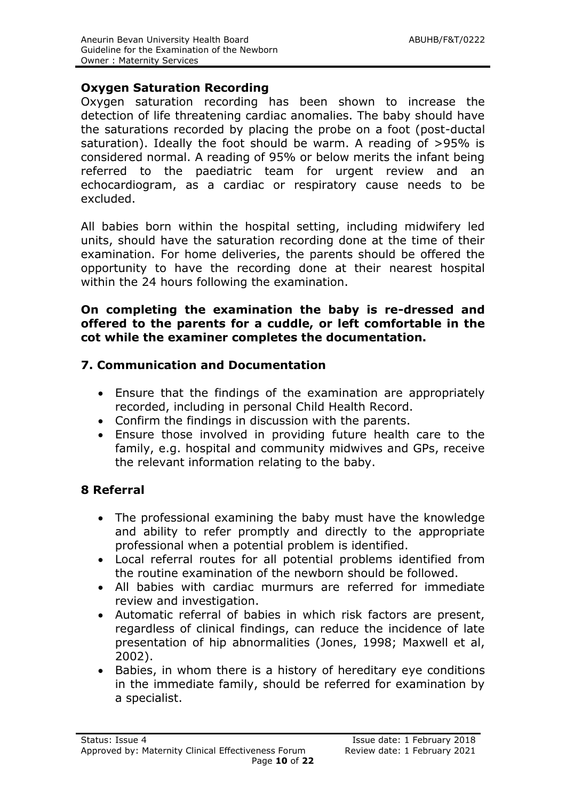#### **Oxygen Saturation Recording**

Oxygen saturation recording has been shown to increase the detection of life threatening cardiac anomalies. The baby should have the saturations recorded by placing the probe on a foot (post-ductal saturation). Ideally the foot should be warm. A reading of >95% is considered normal. A reading of 95% or below merits the infant being referred to the paediatric team for urgent review and an echocardiogram, as a cardiac or respiratory cause needs to be excluded.

All babies born within the hospital setting, including midwifery led units, should have the saturation recording done at the time of their examination. For home deliveries, the parents should be offered the opportunity to have the recording done at their nearest hospital within the 24 hours following the examination.

#### **On completing the examination the baby is re-dressed and offered to the parents for a cuddle, or left comfortable in the cot while the examiner completes the documentation.**

# **7. Communication and Documentation**

- Ensure that the findings of the examination are appropriately recorded, including in personal Child Health Record.
- Confirm the findings in discussion with the parents.
- Ensure those involved in providing future health care to the family, e.g. hospital and community midwives and GPs, receive the relevant information relating to the baby.

# **8 Referral**

- The professional examining the baby must have the knowledge and ability to refer promptly and directly to the appropriate professional when a potential problem is identified.
- Local referral routes for all potential problems identified from the routine examination of the newborn should be followed.
- All babies with cardiac murmurs are referred for immediate review and investigation.
- Automatic referral of babies in which risk factors are present, regardless of clinical findings, can reduce the incidence of late presentation of hip abnormalities (Jones, 1998; Maxwell et al, 2002).
- Babies, in whom there is a history of hereditary eye conditions in the immediate family, should be referred for examination by a specialist.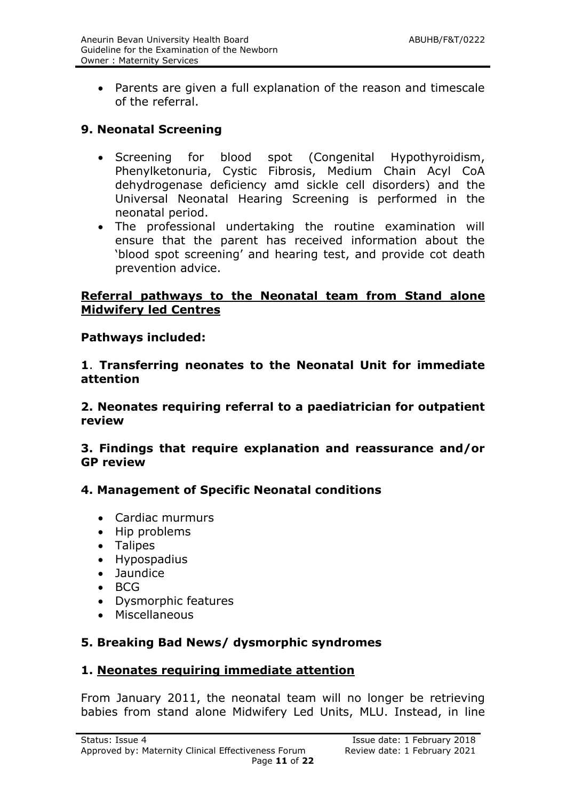Parents are given a full explanation of the reason and timescale of the referral.

# **9. Neonatal Screening**

- Screening for blood spot (Congenital Hypothyroidism, Phenylketonuria, Cystic Fibrosis, Medium Chain Acyl CoA dehydrogenase deficiency amd sickle cell disorders) and the Universal Neonatal Hearing Screening is performed in the neonatal period.
- The professional undertaking the routine examination will ensure that the parent has received information about the 'blood spot screening' and hearing test, and provide cot death prevention advice.

# **Referral pathways to the Neonatal team from Stand alone Midwifery led Centres**

# **Pathways included:**

**1**. **Transferring neonates to the Neonatal Unit for immediate attention**

**2. Neonates requiring referral to a paediatrician for outpatient review**

**3. Findings that require explanation and reassurance and/or GP review** 

# **4. Management of Specific Neonatal conditions**

- Cardiac murmurs
- Hip problems
- Talipes
- Hypospadius
- Jaundice
- $-BCG$
- Dysmorphic features
- Miscellaneous

# **5. Breaking Bad News/ dysmorphic syndromes**

# **1. Neonates requiring immediate attention**

From January 2011, the neonatal team will no longer be retrieving babies from stand alone Midwifery Led Units, MLU. Instead, in line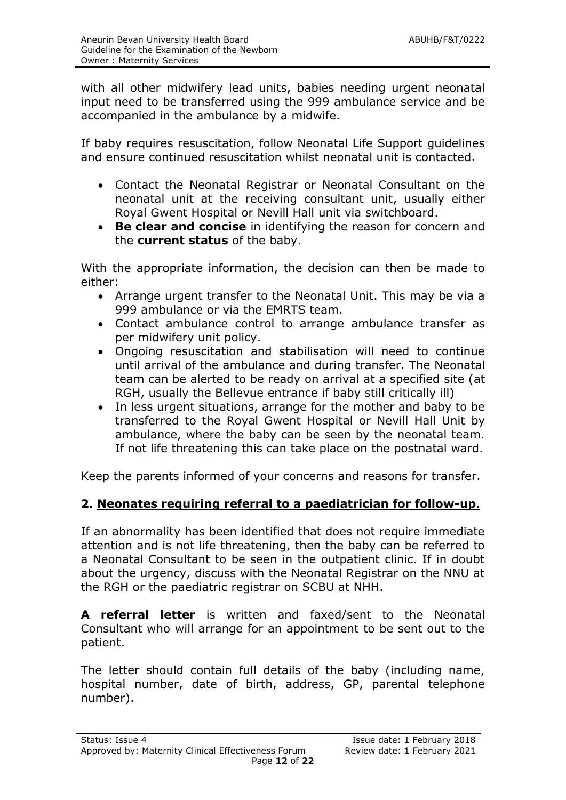with all other midwifery lead units, babies needing urgent neonatal input need to be transferred using the 999 ambulance service and be accompanied in the ambulance by a midwife.

If baby requires resuscitation, follow Neonatal Life Support guidelines and ensure continued resuscitation whilst neonatal unit is contacted.

- Contact the Neonatal Registrar or Neonatal Consultant on the neonatal unit at the receiving consultant unit, usually either Royal Gwent Hospital or Nevill Hall unit via switchboard.
- **Be clear and concise** in identifying the reason for concern and the **current status** of the baby.

With the appropriate information, the decision can then be made to either:

- Arrange urgent transfer to the Neonatal Unit. This may be via a 999 ambulance or via the EMRTS team.
- Contact ambulance control to arrange ambulance transfer as per midwifery unit policy.
- Ongoing resuscitation and stabilisation will need to continue until arrival of the ambulance and during transfer. The Neonatal team can be alerted to be ready on arrival at a specified site (at RGH, usually the Bellevue entrance if baby still critically ill)
- In less urgent situations, arrange for the mother and baby to be transferred to the Royal Gwent Hospital or Nevill Hall Unit by ambulance, where the baby can be seen by the neonatal team. If not life threatening this can take place on the postnatal ward.

Keep the parents informed of your concerns and reasons for transfer.

# **2. Neonates requiring referral to a paediatrician for follow-up.**

If an abnormality has been identified that does not require immediate attention and is not life threatening, then the baby can be referred to a Neonatal Consultant to be seen in the outpatient clinic. If in doubt about the urgency, discuss with the Neonatal Registrar on the NNU at the RGH or the paediatric registrar on SCBU at NHH.

**A referral letter** is written and faxed/sent to the Neonatal Consultant who will arrange for an appointment to be sent out to the patient.

The letter should contain full details of the baby (including name, hospital number, date of birth, address, GP, parental telephone number).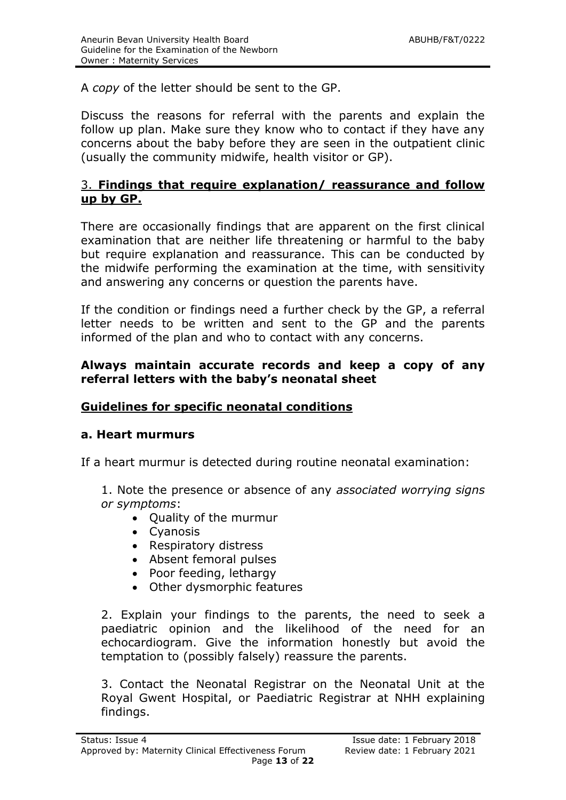A *copy* of the letter should be sent to the GP.

Discuss the reasons for referral with the parents and explain the follow up plan. Make sure they know who to contact if they have any concerns about the baby before they are seen in the outpatient clinic (usually the community midwife, health visitor or GP).

# 3. **Findings that require explanation/ reassurance and follow up by GP.**

There are occasionally findings that are apparent on the first clinical examination that are neither life threatening or harmful to the baby but require explanation and reassurance. This can be conducted by the midwife performing the examination at the time, with sensitivity and answering any concerns or question the parents have.

If the condition or findings need a further check by the GP, a referral letter needs to be written and sent to the GP and the parents informed of the plan and who to contact with any concerns.

#### **Always maintain accurate records and keep a copy of any referral letters with the baby's neonatal sheet**

# **Guidelines for specific neonatal conditions**

#### **a. Heart murmurs**

If a heart murmur is detected during routine neonatal examination:

1. Note the presence or absence of any *associated worrying signs or symptoms*:

- Quality of the murmur
- Cyanosis
- Respiratory distress
- Absent femoral pulses
- Poor feeding, lethargy
- Other dysmorphic features

2. Explain your findings to the parents, the need to seek a paediatric opinion and the likelihood of the need for an echocardiogram. Give the information honestly but avoid the temptation to (possibly falsely) reassure the parents.

3. Contact the Neonatal Registrar on the Neonatal Unit at the Royal Gwent Hospital, or Paediatric Registrar at NHH explaining findings.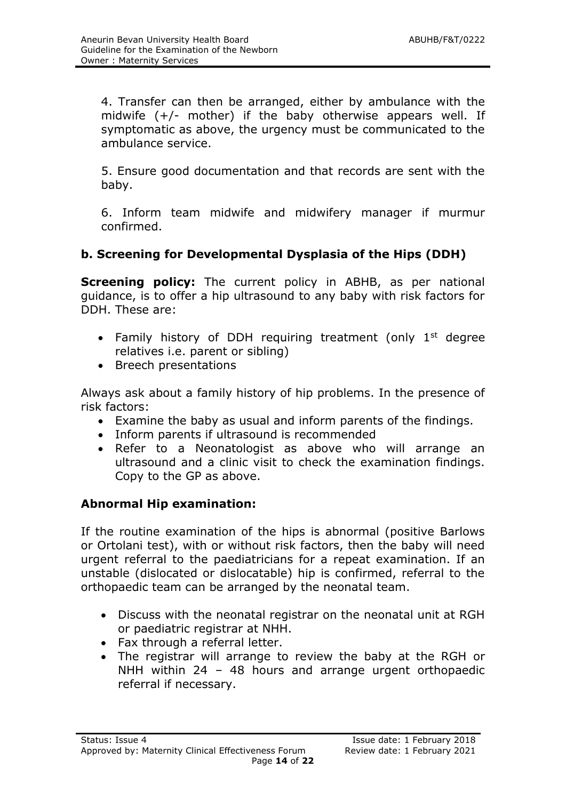4. Transfer can then be arranged, either by ambulance with the midwife  $(+/-$  mother) if the baby otherwise appears well. If symptomatic as above, the urgency must be communicated to the ambulance service.

5. Ensure good documentation and that records are sent with the baby.

6. Inform team midwife and midwifery manager if murmur confirmed.

# **b. Screening for Developmental Dysplasia of the Hips (DDH)**

**Screening policy:** The current policy in ABHB, as per national guidance, is to offer a hip ultrasound to any baby with risk factors for DDH. These are:

- Family history of DDH requiring treatment (only  $1<sup>st</sup>$  degree relatives i.e. parent or sibling)
- Breech presentations

Always ask about a family history of hip problems. In the presence of risk factors:

- Examine the baby as usual and inform parents of the findings.
- Inform parents if ultrasound is recommended
- Refer to a Neonatologist as above who will arrange an ultrasound and a clinic visit to check the examination findings. Copy to the GP as above.

# **Abnormal Hip examination:**

If the routine examination of the hips is abnormal (positive Barlows or Ortolani test), with or without risk factors, then the baby will need urgent referral to the paediatricians for a repeat examination. If an unstable (dislocated or dislocatable) hip is confirmed, referral to the orthopaedic team can be arranged by the neonatal team.

- Discuss with the neonatal registrar on the neonatal unit at RGH or paediatric registrar at NHH.
- Fax through a referral letter.
- The registrar will arrange to review the baby at the RGH or NHH within 24 – 48 hours and arrange urgent orthopaedic referral if necessary.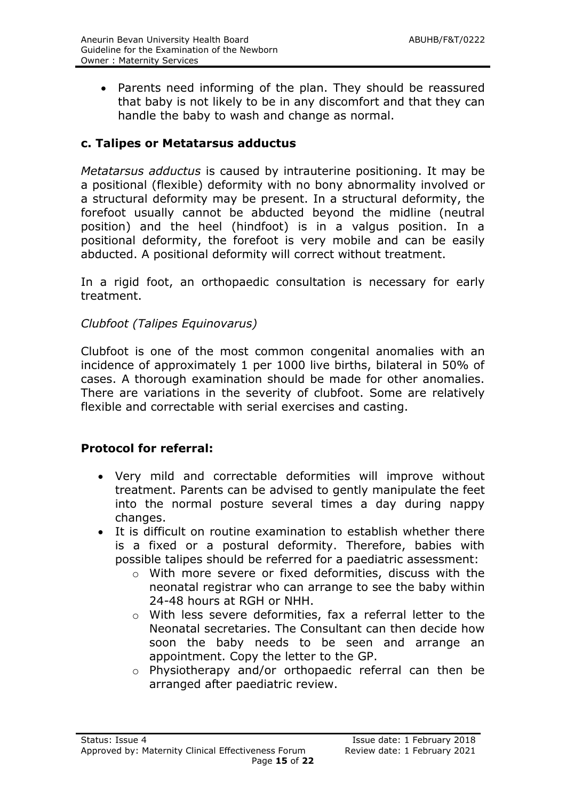• Parents need informing of the plan. They should be reassured that baby is not likely to be in any discomfort and that they can handle the baby to wash and change as normal.

# **c. Talipes or Metatarsus adductus**

*Metatarsus adductus* is caused by intrauterine positioning. It may be a positional (flexible) deformity with no bony abnormality involved or a structural deformity may be present. In a structural deformity, the forefoot usually cannot be abducted beyond the midline (neutral position) and the heel (hindfoot) is in a valgus position. In a positional deformity, the forefoot is very mobile and can be easily abducted. A positional deformity will correct without treatment.

In a rigid foot, an orthopaedic consultation is necessary for early treatment.

# *Clubfoot (Talipes Equinovarus)*

Clubfoot is one of the most common congenital anomalies with an incidence of approximately 1 per 1000 live births, bilateral in 50% of cases. A thorough examination should be made for other anomalies. There are variations in the severity of clubfoot. Some are relatively flexible and correctable with serial exercises and casting.

# **Protocol for referral:**

- Very mild and correctable deformities will improve without treatment. Parents can be advised to gently manipulate the feet into the normal posture several times a day during nappy changes.
- It is difficult on routine examination to establish whether there is a fixed or a postural deformity. Therefore, babies with possible talipes should be referred for a paediatric assessment:
	- o With more severe or fixed deformities, discuss with the neonatal registrar who can arrange to see the baby within 24-48 hours at RGH or NHH.
	- o With less severe deformities, fax a referral letter to the Neonatal secretaries. The Consultant can then decide how soon the baby needs to be seen and arrange an appointment. Copy the letter to the GP.
	- o Physiotherapy and/or orthopaedic referral can then be arranged after paediatric review.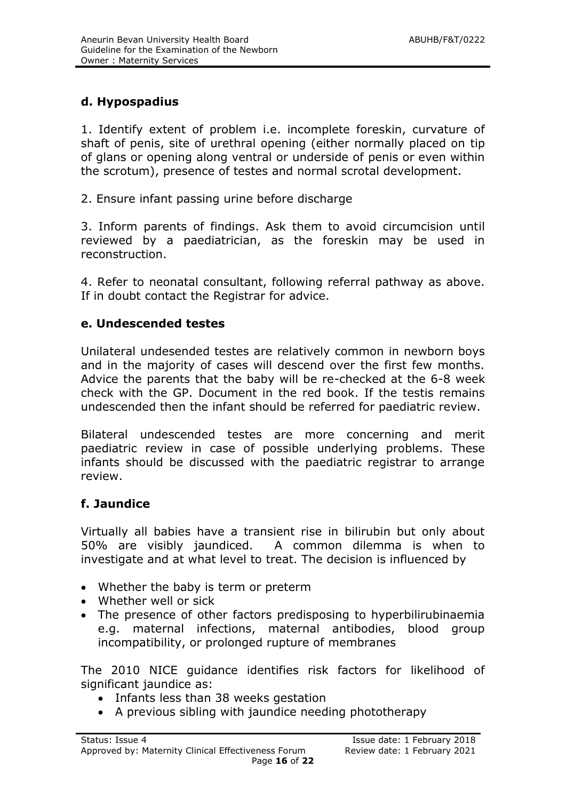# **d. Hypospadius**

1. Identify extent of problem i.e. incomplete foreskin, curvature of shaft of penis, site of urethral opening (either normally placed on tip of glans or opening along ventral or underside of penis or even within the scrotum), presence of testes and normal scrotal development.

2. Ensure infant passing urine before discharge

3. Inform parents of findings. Ask them to avoid circumcision until reviewed by a paediatrician, as the foreskin may be used in reconstruction.

4. Refer to neonatal consultant, following referral pathway as above. If in doubt contact the Registrar for advice.

# **e. Undescended testes**

Unilateral undesended testes are relatively common in newborn boys and in the majority of cases will descend over the first few months. Advice the parents that the baby will be re-checked at the 6-8 week check with the GP. Document in the red book. If the testis remains undescended then the infant should be referred for paediatric review.

Bilateral undescended testes are more concerning and merit paediatric review in case of possible underlying problems. These infants should be discussed with the paediatric registrar to arrange review.

#### **f. Jaundice**

Virtually all babies have a transient rise in bilirubin but only about 50% are visibly jaundiced. A common dilemma is when to investigate and at what level to treat. The decision is influenced by

- Whether the baby is term or preterm
- Whether well or sick
- The presence of other factors predisposing to hyperbilirubinaemia e.g. maternal infections, maternal antibodies, blood group incompatibility, or prolonged rupture of membranes

The 2010 NICE guidance identifies risk factors for likelihood of significant jaundice as:

- Infants less than 38 weeks gestation
- A previous sibling with jaundice needing phototherapy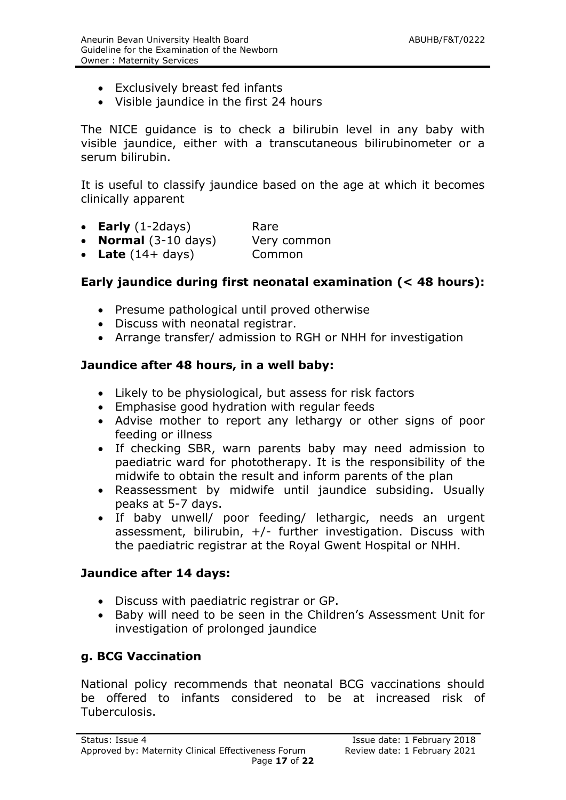- Exclusively breast fed infants
- Visible jaundice in the first 24 hours

The NICE guidance is to check a bilirubin level in any baby with visible jaundice, either with a transcutaneous bilirubinometer or a serum bilirubin.

It is useful to classify jaundice based on the age at which it becomes clinically apparent

- **Early** (1-2days) Rare
- **Normal** (3-10 days) Very common
- Late (14+ days) Common

# **Early jaundice during first neonatal examination (< 48 hours):**

- Presume pathological until proved otherwise
- Discuss with neonatal registrar.
- Arrange transfer/ admission to RGH or NHH for investigation

#### **Jaundice after 48 hours, in a well baby:**

- Likely to be physiological, but assess for risk factors
- Emphasise good hydration with regular feeds
- Advise mother to report any lethargy or other signs of poor feeding or illness
- If checking SBR, warn parents baby may need admission to paediatric ward for phototherapy. It is the responsibility of the midwife to obtain the result and inform parents of the plan
- Reassessment by midwife until jaundice subsiding. Usually peaks at 5-7 days.
- If baby unwell/ poor feeding/ lethargic, needs an urgent assessment, bilirubin,  $+/-$  further investigation. Discuss with the paediatric registrar at the Royal Gwent Hospital or NHH.

#### **Jaundice after 14 days:**

- Discuss with paediatric registrar or GP.
- Baby will need to be seen in the Children's Assessment Unit for investigation of prolonged jaundice

#### **g. BCG Vaccination**

National policy recommends that neonatal BCG vaccinations should be offered to infants considered to be at increased risk of Tuberculosis.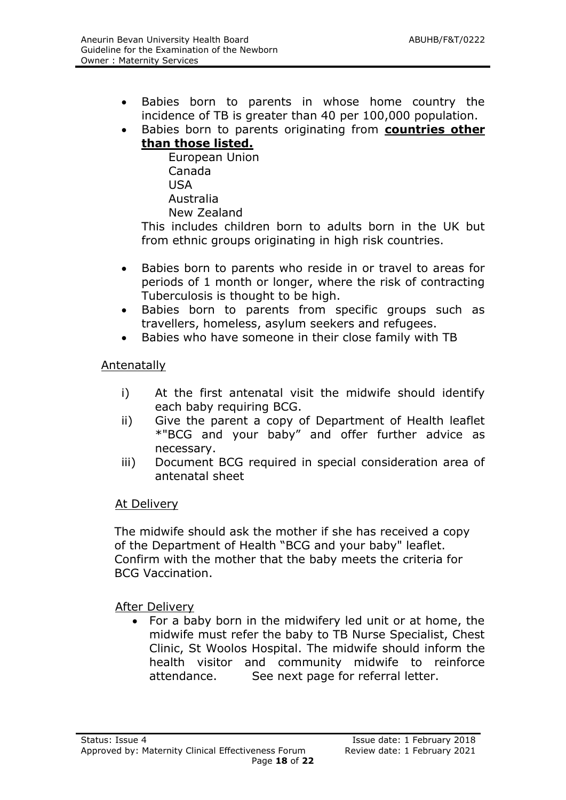- Babies born to parents in whose home country the incidence of TB is greater than 40 per 100,000 population.
- Babies born to parents originating from **countries other than those listed.**

European Union Canada USA Australia New Zealand

This includes children born to adults born in the UK but from ethnic groups originating in high risk countries.

- Babies born to parents who reside in or travel to areas for periods of 1 month or longer, where the risk of contracting Tuberculosis is thought to be high.
- Babies born to parents from specific groups such as travellers, homeless, asylum seekers and refugees.
- Babies who have someone in their close family with TB

# **Antenatally**

- i) At the first antenatal visit the midwife should identify each baby requiring BCG.
- ii) Give the parent a copy of Department of Health leaflet \*"BCG and your baby" and offer further advice as necessary.
- iii) Document BCG required in special consideration area of antenatal sheet

# At Delivery

The midwife should ask the mother if she has received a copy of the Department of Health "BCG and your baby" leaflet. Confirm with the mother that the baby meets the criteria for BCG Vaccination.

After Delivery

 For a baby born in the midwifery led unit or at home, the midwife must refer the baby to TB Nurse Specialist, Chest Clinic, St Woolos Hospital. The midwife should inform the health visitor and community midwife to reinforce attendance. See next page for referral letter.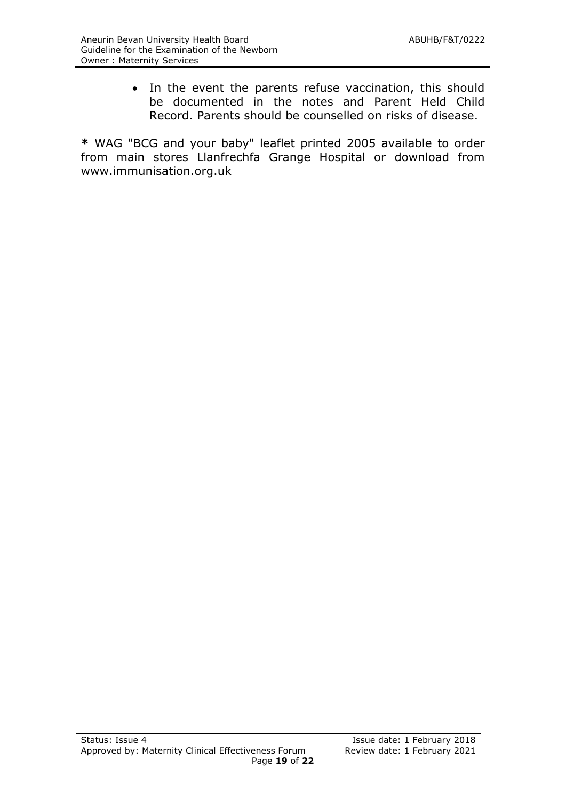• In the event the parents refuse vaccination, this should be documented in the notes and Parent Held Child Record. Parents should be counselled on risks of disease.

**\*** WAG "BCG and your baby" leaflet printed 2005 available to order from main stores Llanfrechfa Grange Hospital or download from www.immunisation.org.uk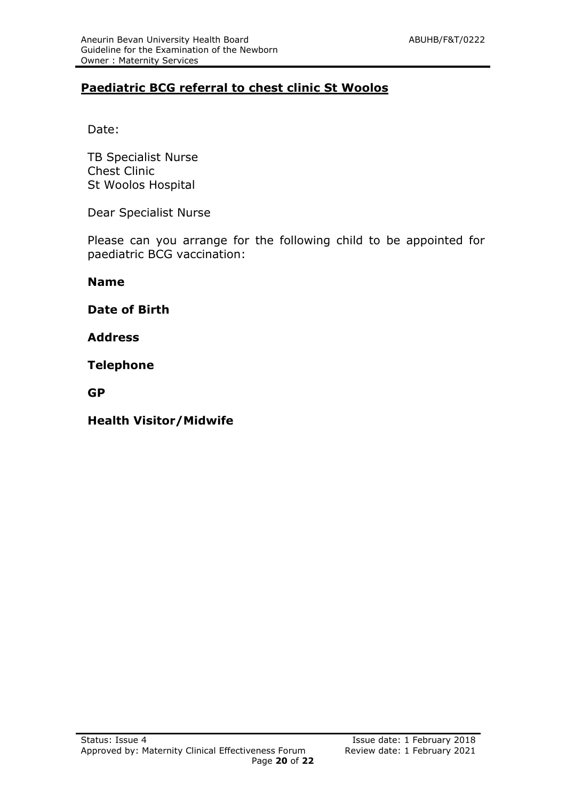# **Paediatric BCG referral to chest clinic St Woolos**

Date:

TB Specialist Nurse Chest Clinic St Woolos Hospital

Dear Specialist Nurse

Please can you arrange for the following child to be appointed for paediatric BCG vaccination:

**Name**

**Date of Birth**

**Address**

**Telephone** 

**GP**

**Health Visitor/Midwife**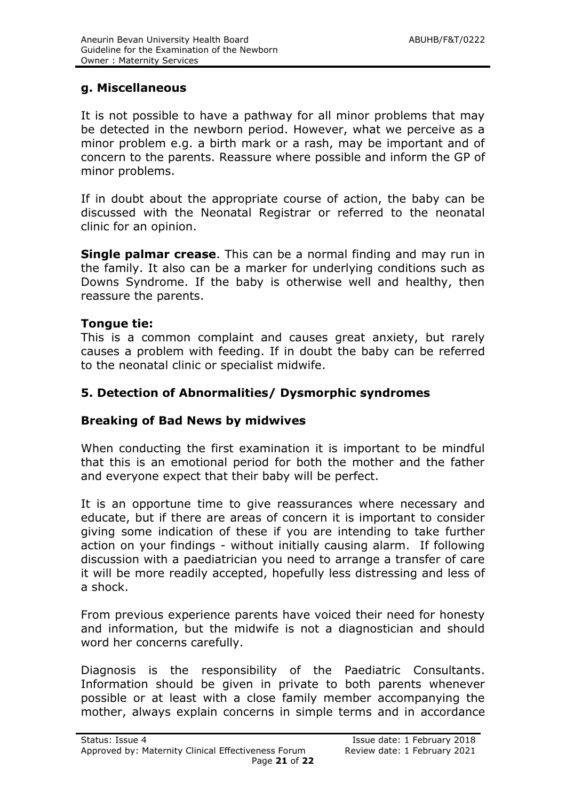# **g. Miscellaneous**

It is not possible to have a pathway for all minor problems that may be detected in the newborn period. However, what we perceive as a minor problem e.g. a birth mark or a rash, may be important and of concern to the parents. Reassure where possible and inform the GP of minor problems.

If in doubt about the appropriate course of action, the baby can be discussed with the Neonatal Registrar or referred to the neonatal clinic for an opinion.

**Single palmar crease**. This can be a normal finding and may run in the family. It also can be a marker for underlying conditions such as Downs Syndrome. If the baby is otherwise well and healthy, then reassure the parents.

#### **Tongue tie:**

This is a common complaint and causes great anxiety, but rarely causes a problem with feeding. If in doubt the baby can be referred to the neonatal clinic or specialist midwife.

#### **5. Detection of Abnormalities/ Dysmorphic syndromes**

#### **Breaking of Bad News by midwives**

When conducting the first examination it is important to be mindful that this is an emotional period for both the mother and the father and everyone expect that their baby will be perfect.

It is an opportune time to give reassurances where necessary and educate, but if there are areas of concern it is important to consider giving some indication of these if you are intending to take further action on your findings - without initially causing alarm. If following discussion with a paediatrician you need to arrange a transfer of care it will be more readily accepted, hopefully less distressing and less of a shock.

From previous experience parents have voiced their need for honesty and information, but the midwife is not a diagnostician and should word her concerns carefully.

Diagnosis is the responsibility of the Paediatric Consultants. Information should be given in private to both parents whenever possible or at least with a close family member accompanying the mother, always explain concerns in simple terms and in accordance